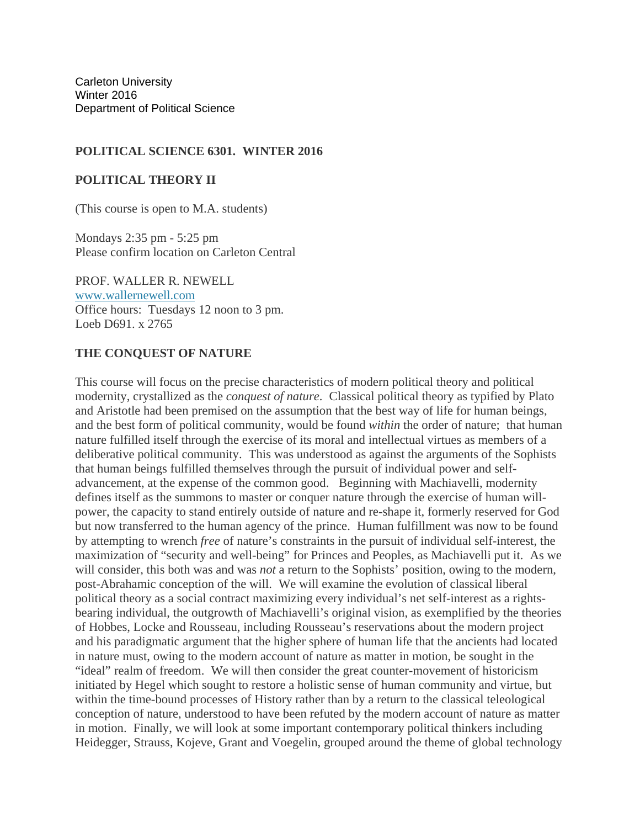Carleton University Winter 2016 Department of Political Science

### **POLITICAL SCIENCE 6301. WINTER 2016**

### **POLITICAL THEORY II**

(This course is open to M.A. students)

Mondays 2:35 pm - 5:25 pm Please confirm location on Carleton Central

PROF. WALLER R. NEWELL www.wallernewell.com Office hours: Tuesdays 12 noon to 3 pm. Loeb D691. x 2765

### **THE CONQUEST OF NATURE**

This course will focus on the precise characteristics of modern political theory and political modernity, crystallized as the *conquest of nature*. Classical political theory as typified by Plato and Aristotle had been premised on the assumption that the best way of life for human beings, and the best form of political community, would be found *within* the order of nature; that human nature fulfilled itself through the exercise of its moral and intellectual virtues as members of a deliberative political community. This was understood as against the arguments of the Sophists that human beings fulfilled themselves through the pursuit of individual power and selfadvancement, at the expense of the common good. Beginning with Machiavelli, modernity defines itself as the summons to master or conquer nature through the exercise of human willpower, the capacity to stand entirely outside of nature and re-shape it, formerly reserved for God but now transferred to the human agency of the prince. Human fulfillment was now to be found by attempting to wrench *free* of nature's constraints in the pursuit of individual self-interest, the maximization of "security and well-being" for Princes and Peoples, as Machiavelli put it. As we will consider, this both was and was *not* a return to the Sophists' position, owing to the modern, post-Abrahamic conception of the will. We will examine the evolution of classical liberal political theory as a social contract maximizing every individual's net self-interest as a rightsbearing individual, the outgrowth of Machiavelli's original vision, as exemplified by the theories of Hobbes, Locke and Rousseau, including Rousseau's reservations about the modern project and his paradigmatic argument that the higher sphere of human life that the ancients had located in nature must, owing to the modern account of nature as matter in motion, be sought in the "ideal" realm of freedom. We will then consider the great counter-movement of historicism initiated by Hegel which sought to restore a holistic sense of human community and virtue, but within the time-bound processes of History rather than by a return to the classical teleological conception of nature, understood to have been refuted by the modern account of nature as matter in motion. Finally, we will look at some important contemporary political thinkers including Heidegger, Strauss, Kojeve, Grant and Voegelin, grouped around the theme of global technology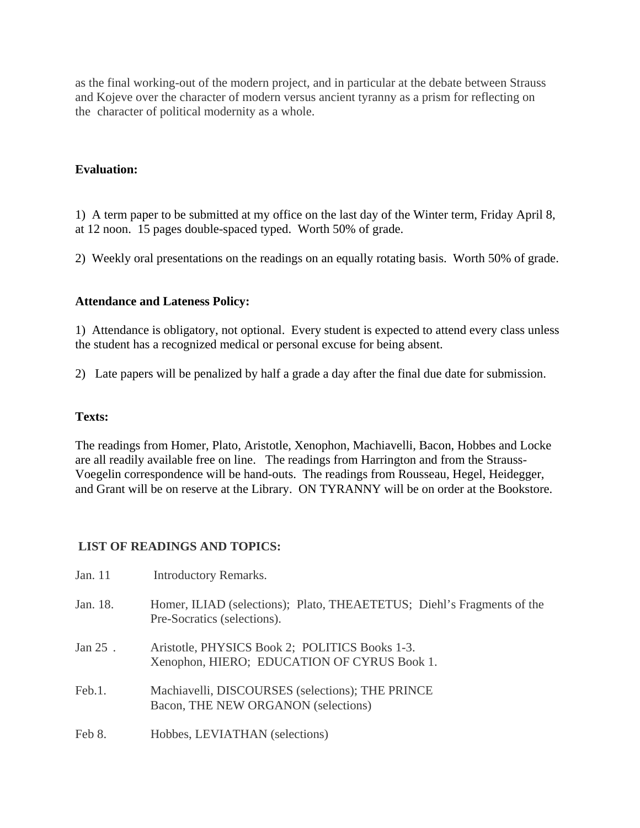as the final working-out of the modern project, and in particular at the debate between Strauss and Kojeve over the character of modern versus ancient tyranny as a prism for reflecting on the character of political modernity as a whole.

# **Evaluation:**

1) A term paper to be submitted at my office on the last day of the Winter term, Friday April 8, at 12 noon. 15 pages double-spaced typed. Worth 50% of grade.

2) Weekly oral presentations on the readings on an equally rotating basis. Worth 50% of grade.

# **Attendance and Lateness Policy:**

1) Attendance is obligatory, not optional. Every student is expected to attend every class unless the student has a recognized medical or personal excuse for being absent.

2) Late papers will be penalized by half a grade a day after the final due date for submission.

## **Texts:**

The readings from Homer, Plato, Aristotle, Xenophon, Machiavelli, Bacon, Hobbes and Locke are all readily available free on line. The readings from Harrington and from the Strauss-Voegelin correspondence will be hand-outs. The readings from Rousseau, Hegel, Heidegger, and Grant will be on reserve at the Library. ON TYRANNY will be on order at the Bookstore.

## **LIST OF READINGS AND TOPICS:**

| Jan. 11    | <b>Introductory Remarks.</b>                                                                          |
|------------|-------------------------------------------------------------------------------------------------------|
| Jan. 18.   | Homer, ILIAD (selections); Plato, THEAETETUS; Diehl's Fragments of the<br>Pre-Socratics (selections). |
| Jan $25$ . | Aristotle, PHYSICS Book 2; POLITICS Books 1-3.<br>Xenophon, HIERO; EDUCATION OF CYRUS Book 1.         |
| Feb.1.     | Machiavelli, DISCOURSES (selections); THE PRINCE<br>Bacon, THE NEW ORGANON (selections)               |
| Feb 8.     | Hobbes, LEVIATHAN (selections)                                                                        |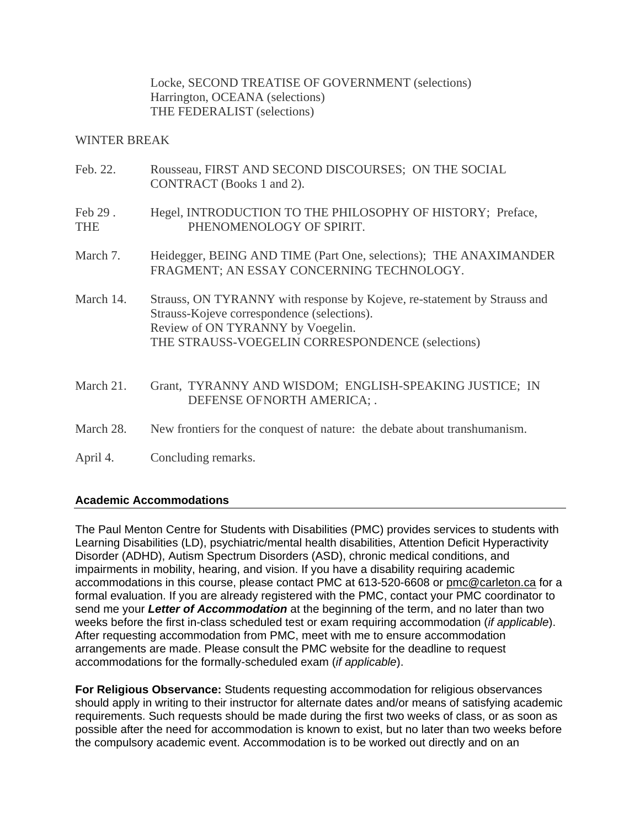Locke, SECOND TREATISE OF GOVERNMENT (selections) Harrington, OCEANA (selections) THE FEDERALIST (selections)

Feb. 22. Rousseau, FIRST AND SECOND DISCOURSES; ON THE SOCIAL

### WINTER BREAK

| ren. 22.              | ROUSSEAU, FIRST AND SECOND DISCOURSES; ON THE SOCIAL<br>CONTRACT (Books 1 and 2).                                                                                                                                |  |  |  |  |  |
|-----------------------|------------------------------------------------------------------------------------------------------------------------------------------------------------------------------------------------------------------|--|--|--|--|--|
| Feb 29.<br><b>THE</b> | Hegel, INTRODUCTION TO THE PHILOSOPHY OF HISTORY; Preface,<br>PHENOMENOLOGY OF SPIRIT.                                                                                                                           |  |  |  |  |  |
| March 7.              | Heidegger, BEING AND TIME (Part One, selections); THE ANAXIMANDER<br>FRAGMENT; AN ESSAY CONCERNING TECHNOLOGY.                                                                                                   |  |  |  |  |  |
| March 14.             | Strauss, ON TYRANNY with response by Kojeve, re-statement by Strauss and<br>Strauss-Kojeve correspondence (selections).<br>Review of ON TYRANNY by Voegelin.<br>THE STRAUSS-VOEGELIN CORRESPONDENCE (selections) |  |  |  |  |  |
| March 21.             | Grant, TYRANNY AND WISDOM; ENGLISH-SPEAKING JUSTICE; IN<br>DEFENSE OF NORTH AMERICA; .                                                                                                                           |  |  |  |  |  |
| March 28.             | New frontiers for the conquest of nature: the debate about transhumanism.                                                                                                                                        |  |  |  |  |  |
| April 4.              | Concluding remarks.                                                                                                                                                                                              |  |  |  |  |  |

## **Academic Accommodations**

The Paul Menton Centre for Students with Disabilities (PMC) provides services to students with Learning Disabilities (LD), psychiatric/mental health disabilities, Attention Deficit Hyperactivity Disorder (ADHD), Autism Spectrum Disorders (ASD), chronic medical conditions, and impairments in mobility, hearing, and vision. If you have a disability requiring academic accommodations in this course, please contact PMC at 613-520-6608 or pmc@carleton.ca for a formal evaluation. If you are already registered with the PMC, contact your PMC coordinator to send me your *Letter of Accommodation* at the beginning of the term, and no later than two weeks before the first in-class scheduled test or exam requiring accommodation (*if applicable*). After requesting accommodation from PMC, meet with me to ensure accommodation arrangements are made. Please consult the PMC website for the deadline to request accommodations for the formally-scheduled exam (*if applicable*).

**For Religious Observance:** Students requesting accommodation for religious observances should apply in writing to their instructor for alternate dates and/or means of satisfying academic requirements. Such requests should be made during the first two weeks of class, or as soon as possible after the need for accommodation is known to exist, but no later than two weeks before the compulsory academic event. Accommodation is to be worked out directly and on an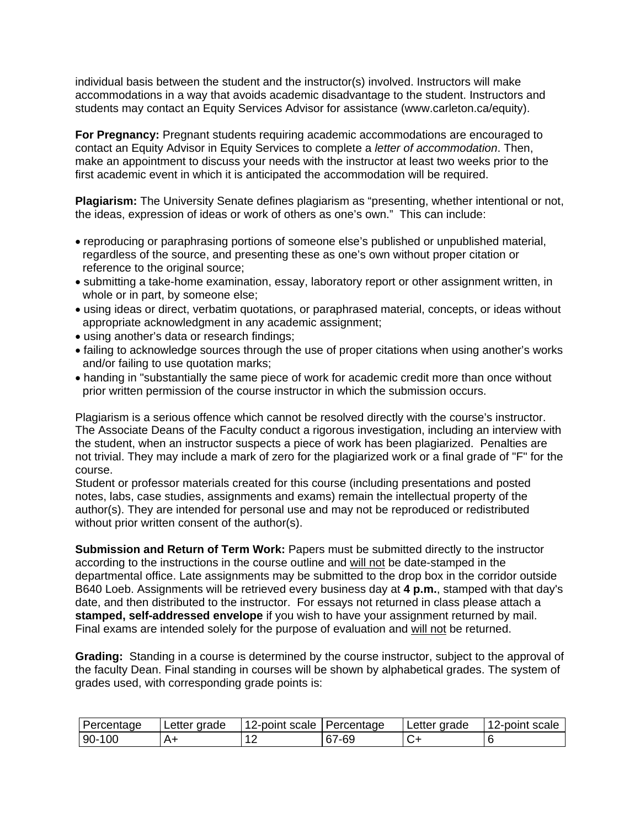individual basis between the student and the instructor(s) involved. Instructors will make accommodations in a way that avoids academic disadvantage to the student. Instructors and students may contact an Equity Services Advisor for assistance (www.carleton.ca/equity).

**For Pregnancy:** Pregnant students requiring academic accommodations are encouraged to contact an Equity Advisor in Equity Services to complete a *letter of accommodation*. Then, make an appointment to discuss your needs with the instructor at least two weeks prior to the first academic event in which it is anticipated the accommodation will be required.

**Plagiarism:** The University Senate defines plagiarism as "presenting, whether intentional or not, the ideas, expression of ideas or work of others as one's own." This can include:

- reproducing or paraphrasing portions of someone else's published or unpublished material, regardless of the source, and presenting these as one's own without proper citation or reference to the original source;
- submitting a take-home examination, essay, laboratory report or other assignment written, in whole or in part, by someone else;
- using ideas or direct, verbatim quotations, or paraphrased material, concepts, or ideas without appropriate acknowledgment in any academic assignment;
- using another's data or research findings:
- failing to acknowledge sources through the use of proper citations when using another's works and/or failing to use quotation marks;
- handing in "substantially the same piece of work for academic credit more than once without prior written permission of the course instructor in which the submission occurs.

Plagiarism is a serious offence which cannot be resolved directly with the course's instructor. The Associate Deans of the Faculty conduct a rigorous investigation, including an interview with the student, when an instructor suspects a piece of work has been plagiarized. Penalties are not trivial. They may include a mark of zero for the plagiarized work or a final grade of "F" for the course.

Student or professor materials created for this course (including presentations and posted notes, labs, case studies, assignments and exams) remain the intellectual property of the author(s). They are intended for personal use and may not be reproduced or redistributed without prior written consent of the author(s).

**Submission and Return of Term Work:** Papers must be submitted directly to the instructor according to the instructions in the course outline and will not be date-stamped in the departmental office. Late assignments may be submitted to the drop box in the corridor outside B640 Loeb. Assignments will be retrieved every business day at **4 p.m.**, stamped with that day's date, and then distributed to the instructor. For essays not returned in class please attach a **stamped, self-addressed envelope** if you wish to have your assignment returned by mail. Final exams are intended solely for the purpose of evaluation and will not be returned.

**Grading:** Standing in a course is determined by the course instructor, subject to the approval of the faculty Dean. Final standing in courses will be shown by alphabetical grades. The system of grades used, with corresponding grade points is:

| Percentage       | Letter grade | 12-point scale Percentage |       | Letter grade | 12-point scale |
|------------------|--------------|---------------------------|-------|--------------|----------------|
| $-100$<br>$90 -$ | ∆ ⊥          | -                         | 67-69 |              |                |